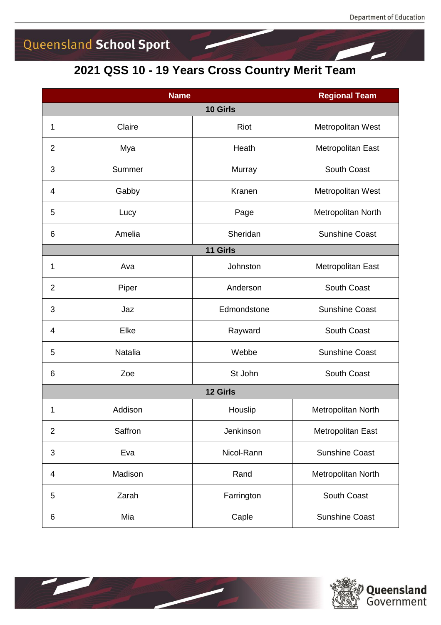## Queensland School Sport

### **QSS 10 - 19 Years Cross Country Merit Team**

|                | <b>Name</b> |             | <b>Regional Team</b>  |  |  |  |
|----------------|-------------|-------------|-----------------------|--|--|--|
|                |             | 10 Girls    |                       |  |  |  |
| 1              | Claire      | Riot        | Metropolitan West     |  |  |  |
| $\overline{2}$ | Mya         | Heath       | Metropolitan East     |  |  |  |
| 3              | Summer      | Murray      | South Coast           |  |  |  |
| 4              | Gabby       | Kranen      | Metropolitan West     |  |  |  |
| 5              | Lucy        | Page        | Metropolitan North    |  |  |  |
| 6              | Amelia      | Sheridan    | <b>Sunshine Coast</b> |  |  |  |
| 11 Girls       |             |             |                       |  |  |  |
| 1              | Ava         | Johnston    | Metropolitan East     |  |  |  |
| $\overline{2}$ | Piper       | Anderson    | <b>South Coast</b>    |  |  |  |
| 3              | Jaz         | Edmondstone | <b>Sunshine Coast</b> |  |  |  |
| 4              | Elke        | Rayward     | South Coast           |  |  |  |
| 5              | Natalia     | Webbe       | <b>Sunshine Coast</b> |  |  |  |
| 6              | Zoe         | St John     | <b>South Coast</b>    |  |  |  |
| 12 Girls       |             |             |                       |  |  |  |
| 1              | Addison     | Houslip     | Metropolitan North    |  |  |  |
| $\overline{2}$ | Saffron     | Jenkinson   | Metropolitan East     |  |  |  |
| 3              | Eva         | Nicol-Rann  | <b>Sunshine Coast</b> |  |  |  |
| 4              | Madison     | Rand        | Metropolitan North    |  |  |  |
| 5              | Zarah       | Farrington  | South Coast           |  |  |  |
| 6              | Mia         | Caple       | <b>Sunshine Coast</b> |  |  |  |



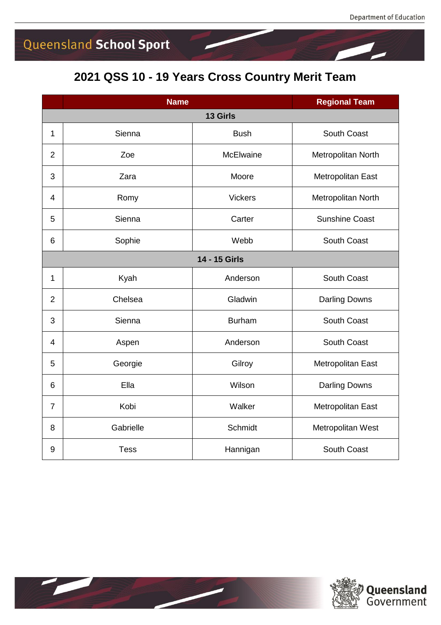# Queensland School Sport

### **2021 QSS 10 - 19 Years Cross Country Merit Team**

|                | <b>Name</b> |                  | <b>Regional Team</b>  |  |  |  |  |
|----------------|-------------|------------------|-----------------------|--|--|--|--|
|                | 13 Girls    |                  |                       |  |  |  |  |
| 1              | Sienna      | <b>Bush</b>      | South Coast           |  |  |  |  |
| $\overline{2}$ | Zoe         | <b>McElwaine</b> | Metropolitan North    |  |  |  |  |
| 3              | Zara        | Moore            | Metropolitan East     |  |  |  |  |
| 4              | Romy        | <b>Vickers</b>   | Metropolitan North    |  |  |  |  |
| 5              | Sienna      | Carter           | <b>Sunshine Coast</b> |  |  |  |  |
| 6              | Sophie      | Webb             | South Coast           |  |  |  |  |
| 14 - 15 Girls  |             |                  |                       |  |  |  |  |
| 1              | Kyah        | Anderson         | South Coast           |  |  |  |  |
| $\overline{2}$ | Chelsea     | Gladwin          | <b>Darling Downs</b>  |  |  |  |  |
| 3              | Sienna      | <b>Burham</b>    | South Coast           |  |  |  |  |
| $\overline{4}$ | Aspen       | Anderson         | South Coast           |  |  |  |  |
| 5              | Georgie     | Gilroy           | Metropolitan East     |  |  |  |  |
| 6              | Ella        | Wilson           | <b>Darling Downs</b>  |  |  |  |  |
| $\overline{7}$ | Kobi        | Walker           | Metropolitan East     |  |  |  |  |
| 8              | Gabrielle   | Schmidt          | Metropolitan West     |  |  |  |  |
| 9              | <b>Tess</b> | Hannigan         | South Coast           |  |  |  |  |